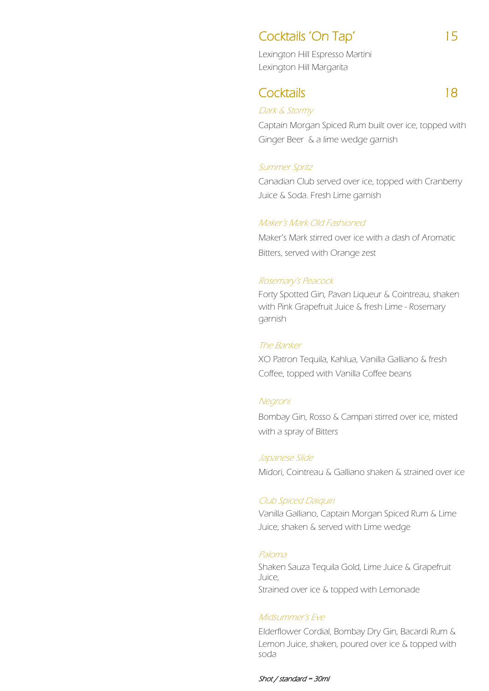## Cocktails 'On Tap' 15

Lexington Hill Espresso Martini Lexington Hill Margarita

### Cocktails 18

### Dark & Stormy

Captain Morgan Spiced Rum built over ice, topped with Ginger Beer & a lime wedge garnish

### Summer Spritz

Canadian Club served over ice, topped with Cranberry Juice & Soda. Fresh Lime garnish

### Maker's Mark Old Fashioned

Maker's Mark stirred over ice with a dash of Aromatic Bitters, served with Orange zest

### Rosemary's Peacock

Forty Spotted Gin, Pavan Liqueur & Cointreau, shaken with Pink Grapefruit Juice & fresh Lime - Rosemary garnish

### The Banker

XO Patron Tequila, Kahlua, Vanilla Galliano & fresh Coffee, topped with Vanilla Coffee beans

### **Negroni**

Bombay Gin, Rosso & Campari stirred over ice, misted with a spray of Bitters

### Japanese Slide

Midori, Cointreau & Galliano shaken & strained over ice

### Club Spiced Daiquiri

Vanilla Galliano, Captain Morgan Spiced Rum & Lime Juice, shaken & served with Lime wedge

### Paloma

Shaken Sauza Tequila Gold, Lime Juice & Grapefruit Juice, Strained over ice & topped with Lemonade

### Midsummer's Eve

Elderflower Cordial, Bombay Dry Gin, Bacardi Rum & Lemon Juice, shaken, poured over ice & topped with soda

#### Shot / standard = 30ml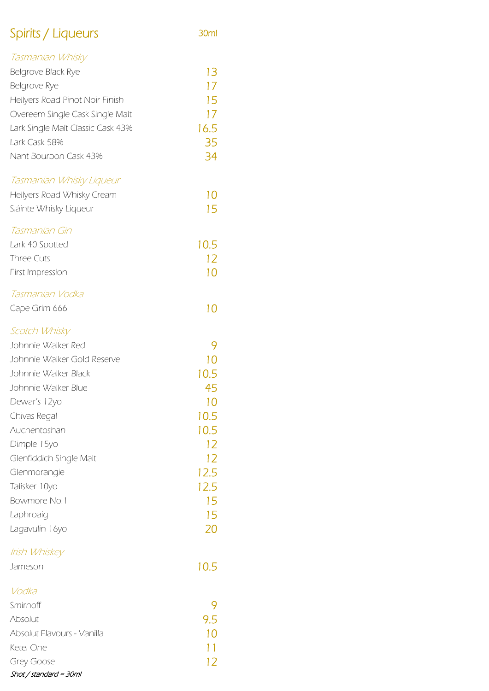# Spirits / Liqueurs 30ml

### Tasmanian Whisky

Shot / standard = 30ml

| Belgrove Black Rye                | 13   |
|-----------------------------------|------|
| Belgrove Rye                      | 17   |
| Hellyers Road Pinot Noir Finish   | 15   |
| Overeem Single Cask Single Malt   | 17   |
| Lark Single Malt Classic Cask 43% | 16.5 |
| Lark Cask 58%                     | 35   |
| Nant Bourbon Cask 43%             | 34   |
| Tasmanian Whisky Liqueur          |      |
| Hellyers Road Whisky Cream        | 10   |
| Sláinte Whisky Liqueur            | 15   |
| Tasmanian Gin                     |      |
| Lark 40 Spotted                   | 10.5 |
| Three Cuts                        | 12   |
| First Impression                  | 10   |
| Tasmanian Vodka                   |      |
| Cape Grim 666                     | 10   |
| Scotch Whisky                     |      |
| Johnnie Walker Red                | 9    |
| Johnnie Walker Gold Reserve       | 10   |
| Johnnie Walker Black              | 10.5 |
| Johnnie Walker Blue               | 45   |
| Dewar's 12yo                      | 10   |
| Chivas Regal                      | 10.5 |
| Auchentoshan                      | 10.5 |
| Dimple 15yo                       | 12   |
| Glenfiddich Single Malt           | 12   |
| Glenmorangie                      | 12.5 |
| Talisker 10yo                     | 12.5 |
| Bowmore No.1                      | 15   |
| Laphroaig                         | 15   |
| Lagavulin 16yo                    | 20   |
| Irish Whiskey                     |      |
| Jameson                           | 10.5 |
| Vodka                             |      |
| Smirnoff                          |      |
| Absolut                           | 9.5  |
| Absolut Flavours - Vanilla        | 10   |
| Ketel One                         | 11   |
| Grey Goose                        | 12   |
|                                   |      |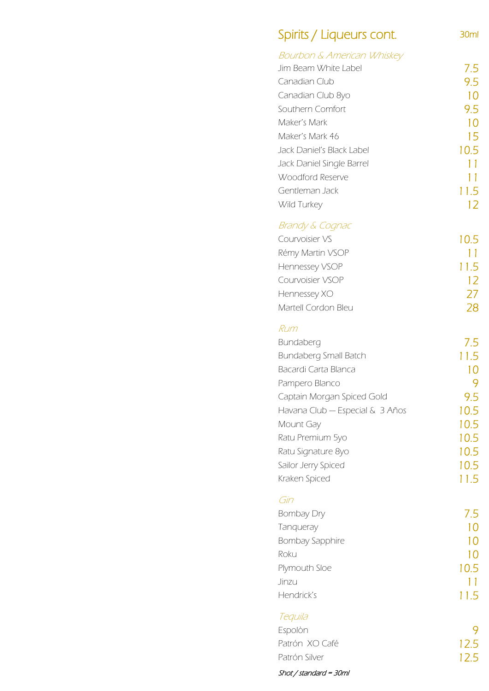| Spirits / Liqueurs cont.                                                                                                                                                                                                                                                  | 30ml                                                                          |
|---------------------------------------------------------------------------------------------------------------------------------------------------------------------------------------------------------------------------------------------------------------------------|-------------------------------------------------------------------------------|
| <b>Bourbon &amp; American Whiskey</b><br>Jim Beam White Label<br>Canadian Club<br>Canadian Club 8yo<br>Southern Comfort<br>Maker's Mark<br>Maker's Mark 46<br>Jack Daniel's Black Label<br>Jack Daniel Single Barrel<br>Woodford Reserve<br>Gentleman Jack<br>Wild Turkey | 7.5<br>9.5<br>10<br>9.5<br>10<br>15<br>10.5<br>11<br>11<br>11.5<br>12         |
| Brandy & Cognac<br>Courvoisier VS<br>Rémy Martin VSOP<br>Hennessey VSOP<br>Courvoisier VSOP<br>Hennessey XO<br>Martell Cordon Bleu                                                                                                                                        | 10.5<br>11<br>11.5<br>12<br>27<br>28                                          |
| Rum<br>Bundaberg<br>Bundaberg Small Batch<br>Bacardi Carta Blanca<br>Pampero Blanco<br>Captain Morgan Spiced Gold<br>Havana Club - Especial & 3 Años<br>Mount Gay<br>Ratu Premium 5yo<br>Ratu Signature 8yo<br>Sailor Jerry Spiced<br>Kraken Spiced                       | 7.5<br>11.5<br>10<br>9<br>9.5<br>10.5<br>10.5<br>10.5<br>10.5<br>10.5<br>11.5 |

### Gin

| Bombay Dry      | 7.5  |
|-----------------|------|
| Tangueray       | 1 O  |
| Bombay Sapphire | 1 O  |
| Roku            | 1 O  |
| Plymouth Sloe   | 10.5 |
| Jinzu           |      |
| Hendrick's      | 11.5 |
|                 |      |

### Tequila

| Espolòn                |      |
|------------------------|------|
| Patrón XO Café         | 12.5 |
| Patrón Silver          | 12.5 |
| Shot / standard = 30ml |      |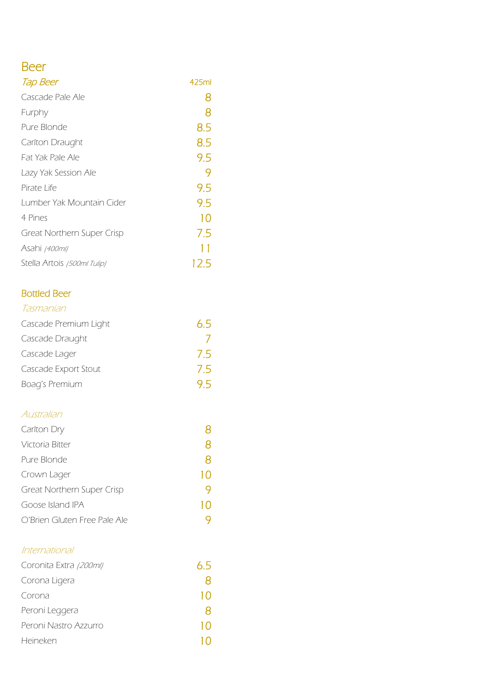## Beer

| Tap Beer                    | 425ml |
|-----------------------------|-------|
| Cascade Pale Ale            | x     |
| Furphy                      | 8     |
| Pure Blonde                 | 8.5   |
| Carlton Draught             | 8.5   |
| Fat Yak Pale Ale            | 9.5   |
| Lazy Yak Session Ale        |       |
| Pirate Life                 | 9.5   |
| Lumber Yak Mountain Cider   | 9.5   |
| 4 Pines                     | 10    |
| Great Northern Super Crisp  | 7.5   |
| Asahi <i>(400ml)</i>        | 11    |
| Stella Artois (500ml Tulip) | 12.5  |

## Bottled Beer

| Tasmanian             |     |
|-----------------------|-----|
| Cascade Premium Light | 65  |
| Cascade Draught       |     |
| Cascade Lager         | 7.5 |
| Cascade Export Stout  | 7.5 |
| Boag's Premium        | 95  |
|                       |     |

### Australian

| Carlton Dry                  |    |
|------------------------------|----|
| Victoria Bitter              |    |
| Pure Blonde                  |    |
| Crown Lager                  |    |
| Great Northern Super Crisp   |    |
| Goose Island IPA             | 10 |
| O'Brien Gluten Free Pale Ale |    |

### International

| Coronita Extra (200ml) | 6 5 |
|------------------------|-----|
| Corona Ligera          |     |
| Corona                 | 10  |
| Peroni Leggera         | x   |
| Peroni Nastro Azzurro  | 10  |
| Heineken               |     |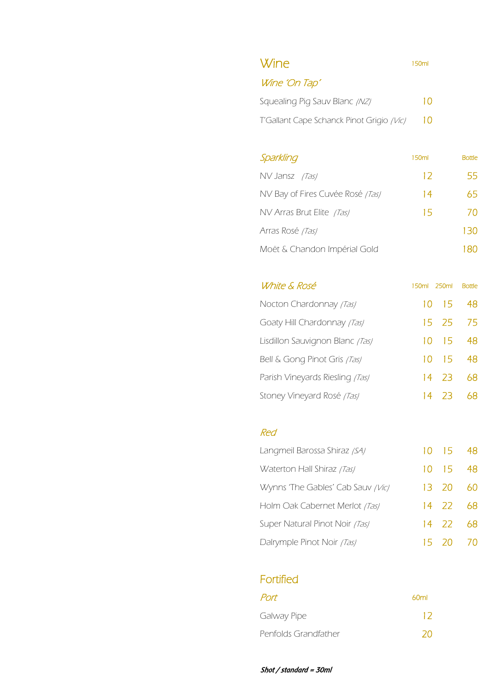| Wine                                      | 150ml |
|-------------------------------------------|-------|
| Wine 'On Tap'                             |       |
| Squealing Pig Sauv Blanc (NZ)             | 10    |
| T'Gallant Cape Schanck Pinot Grigio /Vic/ | 10    |

| Sparkling                        | 150ml | <b>Bottle</b> |
|----------------------------------|-------|---------------|
| NV Jansz (Tas)                   | 12    | 55.           |
| NV Bay of Fires Cuvée Rosé (Tas) | 14    | 65.           |
| NV Arras Brut Elite (Tas)        | 15    | 70.           |
| Arras Rosé (Tas)                 |       | 130.          |
| Moët & Chandon Impérial Gold     |       | 180.          |

| White & Rosé                    | 150ml 250ml   | <b>Bottle</b> |
|---------------------------------|---------------|---------------|
| Nocton Chardonnay (Tas)         | $10 \quad 15$ | - 48          |
| Goaty Hill Chardonnay (Tas)     | 15 25 75      |               |
| Lisdillon Sauvignon Blanc (Tas) | $10 \quad 15$ | -48           |
| Bell & Gong Pinot Gris (Tas)    | 10 15         | 48            |
| Parish Vineyards Riesling (Tas) | 14 23         | 68            |
| Stoney Vineyard Rosé (Tas)      | 14 23         | 68            |

### Red

| Langmeil Barossa Shiraz (SA)      | 10 15 48 |  |
|-----------------------------------|----------|--|
| Waterton Hall Shiraz (Tas)        | 10 15 48 |  |
| Wynns 'The Gables' Cab Sauv (Vic) | 13 20 60 |  |
| Holm Oak Cabernet Merlot (Tas)    | 14 22 68 |  |
| Super Natural Pinot Noir (Tas)    | 14 22 68 |  |
| Dalrymple Pinot Noir (Tas)        | 15 20 70 |  |

## Fortified

| Port                 | 60ml |
|----------------------|------|
| Galway Pipe          | 12.  |
| Penfolds Grandfather | -20- |